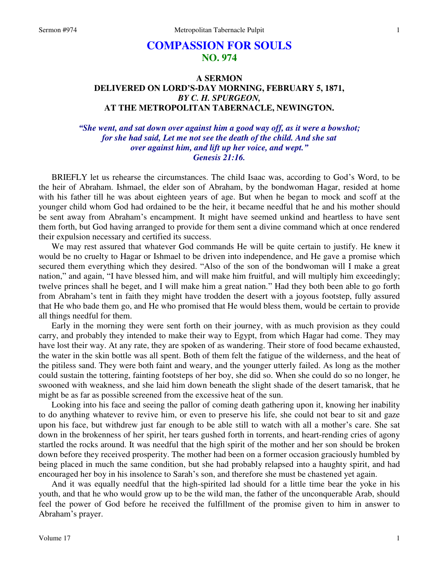# **COMPASSION FOR SOULS NO. 974**

## **A SERMON DELIVERED ON LORD'S-DAY MORNING, FEBRUARY 5, 1871,**  *BY C. H. SPURGEON,*  **AT THE METROPOLITAN TABERNACLE, NEWINGTON.**

## *"She went, and sat down over against him a good way off, as it were a bowshot; for she had said, Let me not see the death of the child. And she sat over against him, and lift up her voice, and wept." Genesis 21:16.*

BRIEFLY let us rehearse the circumstances. The child Isaac was, according to God's Word, to be the heir of Abraham. Ishmael, the elder son of Abraham, by the bondwoman Hagar, resided at home with his father till he was about eighteen years of age. But when he began to mock and scoff at the younger child whom God had ordained to be the heir, it became needful that he and his mother should be sent away from Abraham's encampment. It might have seemed unkind and heartless to have sent them forth, but God having arranged to provide for them sent a divine command which at once rendered their expulsion necessary and certified its success.

We may rest assured that whatever God commands He will be quite certain to justify. He knew it would be no cruelty to Hagar or Ishmael to be driven into independence, and He gave a promise which secured them everything which they desired. "Also of the son of the bondwoman will I make a great nation," and again, "I have blessed him, and will make him fruitful, and will multiply him exceedingly; twelve princes shall he beget, and I will make him a great nation." Had they both been able to go forth from Abraham's tent in faith they might have trodden the desert with a joyous footstep, fully assured that He who bade them go, and He who promised that He would bless them, would be certain to provide all things needful for them.

Early in the morning they were sent forth on their journey, with as much provision as they could carry, and probably they intended to make their way to Egypt, from which Hagar had come. They may have lost their way. At any rate, they are spoken of as wandering. Their store of food became exhausted, the water in the skin bottle was all spent. Both of them felt the fatigue of the wilderness, and the heat of the pitiless sand. They were both faint and weary, and the younger utterly failed. As long as the mother could sustain the tottering, fainting footsteps of her boy, she did so. When she could do so no longer, he swooned with weakness, and she laid him down beneath the slight shade of the desert tamarisk, that he might be as far as possible screened from the excessive heat of the sun.

Looking into his face and seeing the pallor of coming death gathering upon it, knowing her inability to do anything whatever to revive him, or even to preserve his life, she could not bear to sit and gaze upon his face, but withdrew just far enough to be able still to watch with all a mother's care. She sat down in the brokenness of her spirit, her tears gushed forth in torrents, and heart-rending cries of agony startled the rocks around. It was needful that the high spirit of the mother and her son should be broken down before they received prosperity. The mother had been on a former occasion graciously humbled by being placed in much the same condition, but she had probably relapsed into a haughty spirit, and had encouraged her boy in his insolence to Sarah's son, and therefore she must be chastened yet again.

And it was equally needful that the high-spirited lad should for a little time bear the yoke in his youth, and that he who would grow up to be the wild man, the father of the unconquerable Arab, should feel the power of God before he received the fulfillment of the promise given to him in answer to Abraham's prayer.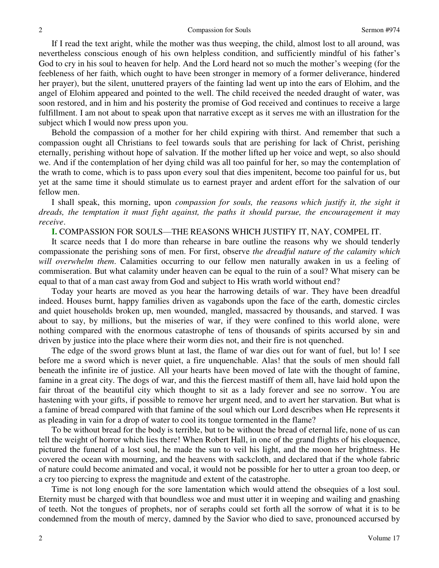If I read the text aright, while the mother was thus weeping, the child, almost lost to all around, was nevertheless conscious enough of his own helpless condition, and sufficiently mindful of his father's God to cry in his soul to heaven for help. And the Lord heard not so much the mother's weeping (for the feebleness of her faith, which ought to have been stronger in memory of a former deliverance, hindered her prayer), but the silent, unuttered prayers of the fainting lad went up into the ears of Elohim, and the angel of Elohim appeared and pointed to the well. The child received the needed draught of water, was soon restored, and in him and his posterity the promise of God received and continues to receive a large fulfillment. I am not about to speak upon that narrative except as it serves me with an illustration for the subject which I would now press upon you.

Behold the compassion of a mother for her child expiring with thirst. And remember that such a compassion ought all Christians to feel towards souls that are perishing for lack of Christ, perishing eternally, perishing without hope of salvation. If the mother lifted up her voice and wept, so also should we. And if the contemplation of her dying child was all too painful for her, so may the contemplation of the wrath to come, which is to pass upon every soul that dies impenitent, become too painful for us, but yet at the same time it should stimulate us to earnest prayer and ardent effort for the salvation of our fellow men.

I shall speak, this morning, upon *compassion for souls, the reasons which justify it, the sight it dreads, the temptation it must fight against, the paths it should pursue, the encouragement it may receive*.

**I.** COMPASSION FOR SOULS—THE REASONS WHICH JUSTIFY IT, NAY, COMPEL IT.

It scarce needs that I do more than rehearse in bare outline the reasons why we should tenderly compassionate the perishing sons of men. For first, observe *the dreadful nature of the calamity which will overwhelm them*. Calamities occurring to our fellow men naturally awaken in us a feeling of commiseration. But what calamity under heaven can be equal to the ruin of a soul? What misery can be equal to that of a man cast away from God and subject to His wrath world without end?

Today your hearts are moved as you hear the harrowing details of war. They have been dreadful indeed. Houses burnt, happy families driven as vagabonds upon the face of the earth, domestic circles and quiet households broken up, men wounded, mangled, massacred by thousands, and starved. I was about to say, by millions, but the miseries of war, if they were confined to this world alone, were nothing compared with the enormous catastrophe of tens of thousands of spirits accursed by sin and driven by justice into the place where their worm dies not, and their fire is not quenched.

The edge of the sword grows blunt at last, the flame of war dies out for want of fuel, but lo! I see before me a sword which is never quiet, a fire unquenchable. Alas! that the souls of men should fall beneath the infinite ire of justice. All your hearts have been moved of late with the thought of famine, famine in a great city. The dogs of war, and this the fiercest mastiff of them all, have laid hold upon the fair throat of the beautiful city which thought to sit as a lady forever and see no sorrow. You are hastening with your gifts, if possible to remove her urgent need, and to avert her starvation. But what is a famine of bread compared with that famine of the soul which our Lord describes when He represents it as pleading in vain for a drop of water to cool its tongue tormented in the flame?

To be without bread for the body is terrible, but to be without the bread of eternal life, none of us can tell the weight of horror which lies there! When Robert Hall, in one of the grand flights of his eloquence, pictured the funeral of a lost soul, he made the sun to veil his light, and the moon her brightness. He covered the ocean with mourning, and the heavens with sackcloth, and declared that if the whole fabric of nature could become animated and vocal, it would not be possible for her to utter a groan too deep, or a cry too piercing to express the magnitude and extent of the catastrophe.

Time is not long enough for the sore lamentation which would attend the obsequies of a lost soul. Eternity must be charged with that boundless woe and must utter it in weeping and wailing and gnashing of teeth. Not the tongues of prophets, nor of seraphs could set forth all the sorrow of what it is to be condemned from the mouth of mercy, damned by the Savior who died to save, pronounced accursed by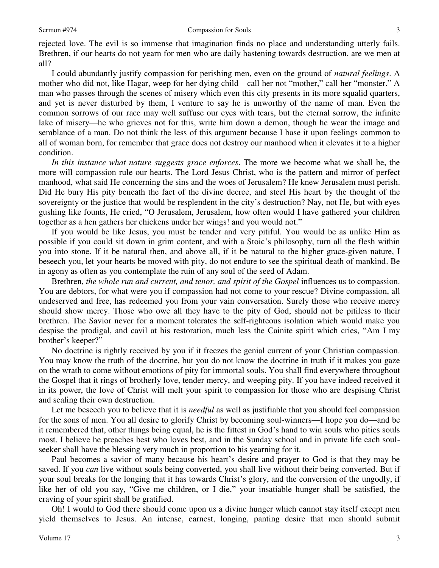rejected love. The evil is so immense that imagination finds no place and understanding utterly fails. Brethren, if our hearts do not yearn for men who are daily hastening towards destruction, are we men at all?

I could abundantly justify compassion for perishing men, even on the ground of *natural feelings*. A mother who did not, like Hagar, weep for her dying child—call her not "mother," call her "monster." A man who passes through the scenes of misery which even this city presents in its more squalid quarters, and yet is never disturbed by them, I venture to say he is unworthy of the name of man. Even the common sorrows of our race may well suffuse our eyes with tears, but the eternal sorrow, the infinite lake of misery—he who grieves not for this, write him down a demon, though he wear the image and semblance of a man. Do not think the less of this argument because I base it upon feelings common to all of woman born, for remember that grace does not destroy our manhood when it elevates it to a higher condition.

*In this instance what nature suggests grace enforces*. The more we become what we shall be, the more will compassion rule our hearts. The Lord Jesus Christ, who is the pattern and mirror of perfect manhood, what said He concerning the sins and the woes of Jerusalem? He knew Jerusalem must perish. Did He bury His pity beneath the fact of the divine decree, and steel His heart by the thought of the sovereignty or the justice that would be resplendent in the city's destruction? Nay, not He, but with eyes gushing like founts, He cried, "O Jerusalem, Jerusalem, how often would I have gathered your children together as a hen gathers her chickens under her wings! and you would not."

If you would be like Jesus, you must be tender and very pitiful. You would be as unlike Him as possible if you could sit down in grim content, and with a Stoic's philosophy, turn all the flesh within you into stone. If it be natural then, and above all, if it be natural to the higher grace-given nature, I beseech you, let your hearts be moved with pity, do not endure to see the spiritual death of mankind. Be in agony as often as you contemplate the ruin of any soul of the seed of Adam.

Brethren, *the whole run and current, and tenor, and spirit of the Gospel* influences us to compassion. You are debtors, for what were you if compassion had not come to your rescue? Divine compassion, all undeserved and free, has redeemed you from your vain conversation. Surely those who receive mercy should show mercy. Those who owe all they have to the pity of God, should not be pitiless to their brethren. The Savior never for a moment tolerates the self-righteous isolation which would make you despise the prodigal, and cavil at his restoration, much less the Cainite spirit which cries, "Am I my brother's keeper?"

No doctrine is rightly received by you if it freezes the genial current of your Christian compassion. You may know the truth of the doctrine, but you do not know the doctrine in truth if it makes you gaze on the wrath to come without emotions of pity for immortal souls. You shall find everywhere throughout the Gospel that it rings of brotherly love, tender mercy, and weeping pity. If you have indeed received it in its power, the love of Christ will melt your spirit to compassion for those who are despising Christ and sealing their own destruction.

Let me beseech you to believe that it is *needful* as well as justifiable that you should feel compassion for the sons of men. You all desire to glorify Christ by becoming soul-winners—I hope you do—and be it remembered that, other things being equal, he is the fittest in God's hand to win souls who pities souls most. I believe he preaches best who loves best, and in the Sunday school and in private life each soulseeker shall have the blessing very much in proportion to his yearning for it.

Paul becomes a savior of many because his heart's desire and prayer to God is that they may be saved. If you *can* live without souls being converted, you shall live without their being converted. But if your soul breaks for the longing that it has towards Christ's glory, and the conversion of the ungodly, if like her of old you say, "Give me children, or I die," your insatiable hunger shall be satisfied, the craving of your spirit shall be gratified.

Oh! I would to God there should come upon us a divine hunger which cannot stay itself except men yield themselves to Jesus. An intense, earnest, longing, panting desire that men should submit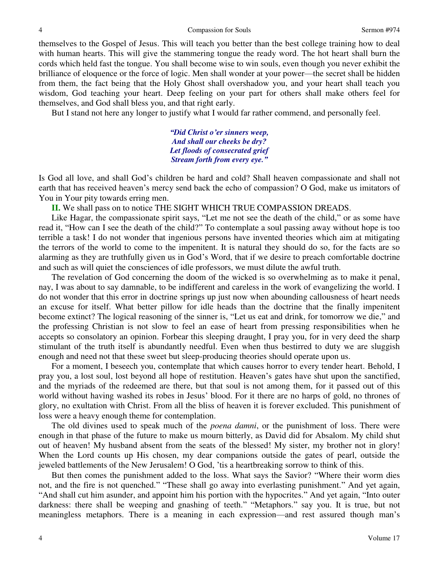themselves to the Gospel of Jesus. This will teach you better than the best college training how to deal with human hearts. This will give the stammering tongue the ready word. The hot heart shall burn the cords which held fast the tongue. You shall become wise to win souls, even though you never exhibit the brilliance of eloquence or the force of logic. Men shall wonder at your power—the secret shall be hidden from them, the fact being that the Holy Ghost shall overshadow you, and your heart shall teach you wisdom, God teaching your heart. Deep feeling on your part for others shall make others feel for themselves, and God shall bless you, and that right early.

But I stand not here any longer to justify what I would far rather commend, and personally feel.

*"Did Christ o'er sinners weep, And shall our cheeks be dry? Let floods of consecrated grief Stream forth from every eye."*

Is God all love, and shall God's children be hard and cold? Shall heaven compassionate and shall not earth that has received heaven's mercy send back the echo of compassion? O God, make us imitators of You in Your pity towards erring men.

**II.** We shall pass on to notice THE SIGHT WHICH TRUE COMPASSION DREADS.

Like Hagar, the compassionate spirit says, "Let me not see the death of the child," or as some have read it, "How can I see the death of the child?" To contemplate a soul passing away without hope is too terrible a task! I do not wonder that ingenious persons have invented theories which aim at mitigating the terrors of the world to come to the impenitent. It is natural they should do so, for the facts are so alarming as they are truthfully given us in God's Word, that if we desire to preach comfortable doctrine and such as will quiet the consciences of idle professors, we must dilute the awful truth.

The revelation of God concerning the doom of the wicked is so overwhelming as to make it penal, nay, I was about to say damnable, to be indifferent and careless in the work of evangelizing the world. I do not wonder that this error in doctrine springs up just now when abounding callousness of heart needs an excuse for itself. What better pillow for idle heads than the doctrine that the finally impenitent become extinct? The logical reasoning of the sinner is, "Let us eat and drink, for tomorrow we die," and the professing Christian is not slow to feel an ease of heart from pressing responsibilities when he accepts so consolatory an opinion. Forbear this sleeping draught, I pray you, for in very deed the sharp stimulant of the truth itself is abundantly needful. Even when thus bestirred to duty we are sluggish enough and need not that these sweet but sleep-producing theories should operate upon us.

For a moment, I beseech you, contemplate that which causes horror to every tender heart. Behold, I pray you, a lost soul, lost beyond all hope of restitution. Heaven's gates have shut upon the sanctified, and the myriads of the redeemed are there, but that soul is not among them, for it passed out of this world without having washed its robes in Jesus' blood. For it there are no harps of gold, no thrones of glory, no exultation with Christ. From all the bliss of heaven it is forever excluded. This punishment of loss were a heavy enough theme for contemplation.

The old divines used to speak much of the *poena damni*, or the punishment of loss. There were enough in that phase of the future to make us mourn bitterly, as David did for Absalom. My child shut out of heaven! My husband absent from the seats of the blessed! My sister, my brother not in glory! When the Lord counts up His chosen, my dear companions outside the gates of pearl, outside the jeweled battlements of the New Jerusalem! O God, 'tis a heartbreaking sorrow to think of this.

But then comes the punishment added to the loss. What says the Savior? "Where their worm dies not, and the fire is not quenched." "These shall go away into everlasting punishment." And yet again, "And shall cut him asunder, and appoint him his portion with the hypocrites." And yet again, "Into outer darkness: there shall be weeping and gnashing of teeth." "Metaphors." say you. It is true, but not meaningless metaphors. There is a meaning in each expression—and rest assured though man's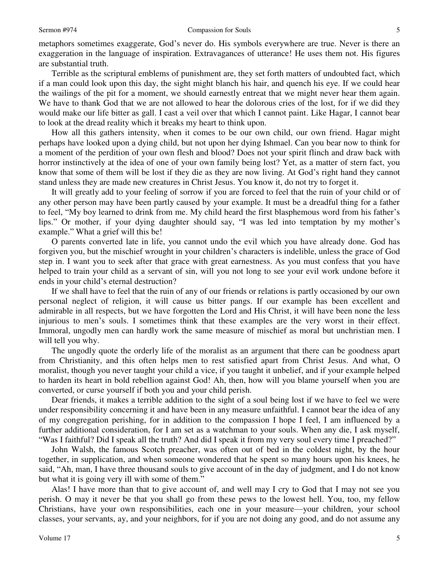metaphors sometimes exaggerate, God's never do. His symbols everywhere are true. Never is there an exaggeration in the language of inspiration. Extravagances of utterance! He uses them not. His figures are substantial truth.

Terrible as the scriptural emblems of punishment are, they set forth matters of undoubted fact, which if a man could look upon this day, the sight might blanch his hair, and quench his eye. If we could hear the wailings of the pit for a moment, we should earnestly entreat that we might never hear them again. We have to thank God that we are not allowed to hear the dolorous cries of the lost, for if we did they would make our life bitter as gall. I cast a veil over that which I cannot paint. Like Hagar, I cannot bear to look at the dread reality which it breaks my heart to think upon.

How all this gathers intensity, when it comes to be our own child, our own friend. Hagar might perhaps have looked upon a dying child, but not upon her dying Ishmael. Can you bear now to think for a moment of the perdition of your own flesh and blood? Does not your spirit flinch and draw back with horror instinctively at the idea of one of your own family being lost? Yet, as a matter of stern fact, you know that some of them will be lost if they die as they are now living. At God's right hand they cannot stand unless they are made new creatures in Christ Jesus. You know it, do not try to forget it.

It will greatly add to your feeling of sorrow if you are forced to feel that the ruin of your child or of any other person may have been partly caused by your example. It must be a dreadful thing for a father to feel, "My boy learned to drink from me. My child heard the first blasphemous word from his father's lips." Or mother, if your dying daughter should say, "I was led into temptation by my mother's example." What a grief will this be!

O parents converted late in life, you cannot undo the evil which you have already done. God has forgiven you, but the mischief wrought in your children's characters is indelible, unless the grace of God step in. I want you to seek after that grace with great earnestness. As you must confess that you have helped to train your child as a servant of sin, will you not long to see your evil work undone before it ends in your child's eternal destruction?

If we shall have to feel that the ruin of any of our friends or relations is partly occasioned by our own personal neglect of religion, it will cause us bitter pangs. If our example has been excellent and admirable in all respects, but we have forgotten the Lord and His Christ, it will have been none the less injurious to men's souls. I sometimes think that these examples are the very worst in their effect. Immoral, ungodly men can hardly work the same measure of mischief as moral but unchristian men. I will tell you why.

The ungodly quote the orderly life of the moralist as an argument that there can be goodness apart from Christianity, and this often helps men to rest satisfied apart from Christ Jesus. And what, O moralist, though you never taught your child a vice, if you taught it unbelief, and if your example helped to harden its heart in bold rebellion against God! Ah, then, how will you blame yourself when you are converted, or curse yourself if both you and your child perish.

Dear friends, it makes a terrible addition to the sight of a soul being lost if we have to feel we were under responsibility concerning it and have been in any measure unfaithful. I cannot bear the idea of any of my congregation perishing, for in addition to the compassion I hope I feel, I am influenced by a further additional consideration, for I am set as a watchman to your souls. When any die, I ask myself, "Was I faithful? Did I speak all the truth? And did I speak it from my very soul every time I preached?"

John Walsh, the famous Scotch preacher, was often out of bed in the coldest night, by the hour together, in supplication, and when someone wondered that he spent so many hours upon his knees, he said, "Ah, man, I have three thousand souls to give account of in the day of judgment, and I do not know but what it is going very ill with some of them."

Alas! I have more than that to give account of, and well may I cry to God that I may not see you perish. O may it never be that you shall go from these pews to the lowest hell. You, too, my fellow Christians, have your own responsibilities, each one in your measure—your children, your school classes, your servants, ay, and your neighbors, for if you are not doing any good, and do not assume any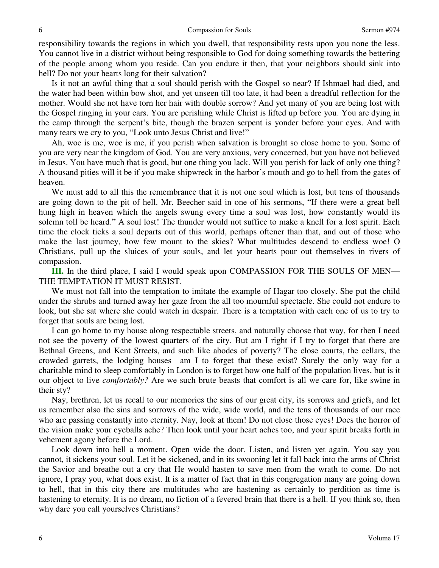responsibility towards the regions in which you dwell, that responsibility rests upon you none the less. You cannot live in a district without being responsible to God for doing something towards the bettering of the people among whom you reside. Can you endure it then, that your neighbors should sink into hell? Do not your hearts long for their salvation?

Is it not an awful thing that a soul should perish with the Gospel so near? If Ishmael had died, and the water had been within bow shot, and yet unseen till too late, it had been a dreadful reflection for the mother. Would she not have torn her hair with double sorrow? And yet many of you are being lost with the Gospel ringing in your ears. You are perishing while Christ is lifted up before you. You are dying in the camp through the serpent's bite, though the brazen serpent is yonder before your eyes. And with many tears we cry to you, "Look unto Jesus Christ and live!"

Ah, woe is me, woe is me, if you perish when salvation is brought so close home to you. Some of you are very near the kingdom of God. You are very anxious, very concerned, but you have not believed in Jesus. You have much that is good, but one thing you lack. Will you perish for lack of only one thing? A thousand pities will it be if you make shipwreck in the harbor's mouth and go to hell from the gates of heaven.

We must add to all this the remembrance that it is not one soul which is lost, but tens of thousands are going down to the pit of hell. Mr. Beecher said in one of his sermons, "If there were a great bell hung high in heaven which the angels swung every time a soul was lost, how constantly would its solemn toll be heard." A soul lost! The thunder would not suffice to make a knell for a lost spirit. Each time the clock ticks a soul departs out of this world, perhaps oftener than that, and out of those who make the last journey, how few mount to the skies? What multitudes descend to endless woe! O Christians, pull up the sluices of your souls, and let your hearts pour out themselves in rivers of compassion.

**III.** In the third place, I said I would speak upon COMPASSION FOR THE SOULS OF MEN— THE TEMPTATION IT MUST RESIST.

We must not fall into the temptation to imitate the example of Hagar too closely. She put the child under the shrubs and turned away her gaze from the all too mournful spectacle. She could not endure to look, but she sat where she could watch in despair. There is a temptation with each one of us to try to forget that souls are being lost.

I can go home to my house along respectable streets, and naturally choose that way, for then I need not see the poverty of the lowest quarters of the city. But am I right if I try to forget that there are Bethnal Greens, and Kent Streets, and such like abodes of poverty? The close courts, the cellars, the crowded garrets, the lodging houses—am I to forget that these exist? Surely the only way for a charitable mind to sleep comfortably in London is to forget how one half of the population lives, but is it our object to live *comfortably?* Are we such brute beasts that comfort is all we care for, like swine in their sty?

Nay, brethren, let us recall to our memories the sins of our great city, its sorrows and griefs, and let us remember also the sins and sorrows of the wide, wide world, and the tens of thousands of our race who are passing constantly into eternity. Nay, look at them! Do not close those eyes! Does the horror of the vision make your eyeballs ache? Then look until your heart aches too, and your spirit breaks forth in vehement agony before the Lord.

Look down into hell a moment. Open wide the door. Listen, and listen yet again. You say you cannot, it sickens your soul. Let it be sickened, and in its swooning let it fall back into the arms of Christ the Savior and breathe out a cry that He would hasten to save men from the wrath to come. Do not ignore, I pray you, what does exist. It is a matter of fact that in this congregation many are going down to hell, that in this city there are multitudes who are hastening as certainly to perdition as time is hastening to eternity. It is no dream, no fiction of a fevered brain that there is a hell. If you think so, then why dare you call yourselves Christians?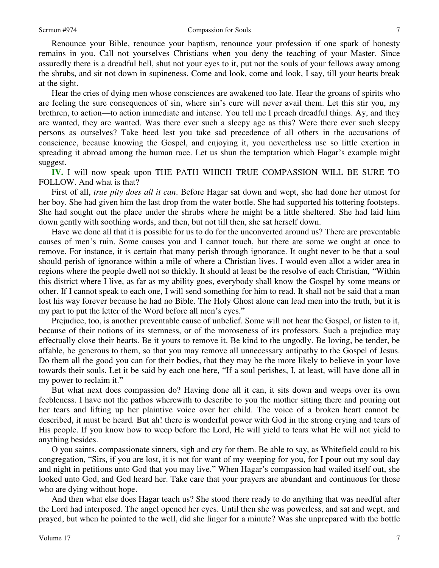### Sermon #974 Compassion for Souls

Renounce your Bible, renounce your baptism, renounce your profession if one spark of honesty remains in you. Call not yourselves Christians when you deny the teaching of your Master. Since assuredly there is a dreadful hell, shut not your eyes to it, put not the souls of your fellows away among the shrubs, and sit not down in supineness. Come and look, come and look, I say, till your hearts break at the sight.

Hear the cries of dying men whose consciences are awakened too late. Hear the groans of spirits who are feeling the sure consequences of sin, where sin's cure will never avail them. Let this stir you, my brethren, to action—to action immediate and intense. You tell me I preach dreadful things. Ay, and they are wanted, they are wanted. Was there ever such a sleepy age as this? Were there ever such sleepy persons as ourselves? Take heed lest you take sad precedence of all others in the accusations of conscience, because knowing the Gospel, and enjoying it, you nevertheless use so little exertion in spreading it abroad among the human race. Let us shun the temptation which Hagar's example might suggest.

**IV.** I will now speak upon THE PATH WHICH TRUE COMPASSION WILL BE SURE TO FOLLOW. And what is that?

First of all, *true pity does all it can*. Before Hagar sat down and wept, she had done her utmost for her boy. She had given him the last drop from the water bottle. She had supported his tottering footsteps. She had sought out the place under the shrubs where he might be a little sheltered. She had laid him down gently with soothing words, and then, but not till then, she sat herself down.

Have we done all that it is possible for us to do for the unconverted around us? There are preventable causes of men's ruin. Some causes you and I cannot touch, but there are some we ought at once to remove. For instance, it is certain that many perish through ignorance. It ought never to be that a soul should perish of ignorance within a mile of where a Christian lives. I would even allot a wider area in regions where the people dwell not so thickly. It should at least be the resolve of each Christian, "Within this district where I live, as far as my ability goes, everybody shall know the Gospel by some means or other. If I cannot speak to each one, I will send something for him to read. It shall not be said that a man lost his way forever because he had no Bible. The Holy Ghost alone can lead men into the truth, but it is my part to put the letter of the Word before all men's eyes."

Prejudice, too, is another preventable cause of unbelief. Some will not hear the Gospel, or listen to it, because of their notions of its sternness, or of the moroseness of its professors. Such a prejudice may effectually close their hearts. Be it yours to remove it. Be kind to the ungodly. Be loving, be tender, be affable, be generous to them, so that you may remove all unnecessary antipathy to the Gospel of Jesus. Do them all the good you can for their bodies, that they may be the more likely to believe in your love towards their souls. Let it be said by each one here, "If a soul perishes, I, at least, will have done all in my power to reclaim it."

But what next does compassion do? Having done all it can, it sits down and weeps over its own feebleness. I have not the pathos wherewith to describe to you the mother sitting there and pouring out her tears and lifting up her plaintive voice over her child. The voice of a broken heart cannot be described, it must be heard*.* But ah! there is wonderful power with God in the strong crying and tears of His people. If you know how to weep before the Lord, He will yield to tears what He will not yield to anything besides.

O you saints. compassionate sinners, sigh and cry for them. Be able to say, as Whitefield could to his congregation, "Sirs, if you are lost, it is not for want of my weeping for you, for I pour out my soul day and night in petitions unto God that you may live." When Hagar's compassion had wailed itself out, she looked unto God, and God heard her. Take care that your prayers are abundant and continuous for those who are dying without hope.

And then what else does Hagar teach us? She stood there ready to do anything that was needful after the Lord had interposed. The angel opened her eyes. Until then she was powerless, and sat and wept, and prayed, but when he pointed to the well, did she linger for a minute? Was she unprepared with the bottle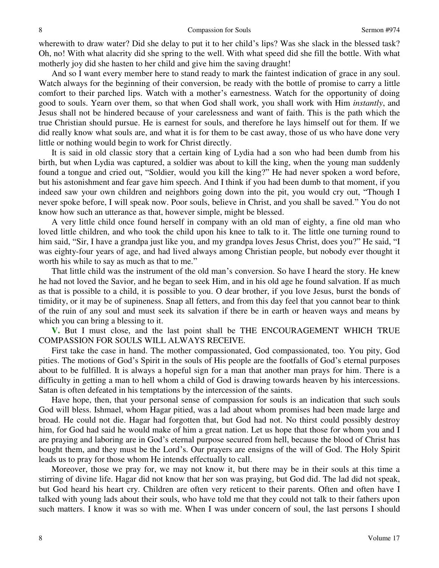wherewith to draw water? Did she delay to put it to her child's lips? Was she slack in the blessed task? Oh, no! With what alacrity did she spring to the well. With what speed did she fill the bottle. With what motherly joy did she hasten to her child and give him the saving draught!

And so I want every member here to stand ready to mark the faintest indication of grace in any soul. Watch always for the beginning of their conversion, be ready with the bottle of promise to carry a little comfort to their parched lips. Watch with a mother's earnestness. Watch for the opportunity of doing good to souls. Yearn over them, so that when God shall work, you shall work with Him *instantly*, and Jesus shall not be hindered because of your carelessness and want of faith. This is the path which the true Christian should pursue. He is earnest for souls, and therefore he lays himself out for them. If we did really know what souls are, and what it is for them to be cast away, those of us who have done very little or nothing would begin to work for Christ directly.

It is said in old classic story that a certain king of Lydia had a son who had been dumb from his birth, but when Lydia was captured, a soldier was about to kill the king, when the young man suddenly found a tongue and cried out, "Soldier, would you kill the king?" He had never spoken a word before, but his astonishment and fear gave him speech. And I think if you had been dumb to that moment, if you indeed saw your own children and neighbors going down into the pit, you would cry out, "Though I never spoke before, I will speak now. Poor souls, believe in Christ, and you shall be saved." You do not know how such an utterance as that, however simple, might be blessed.

A very little child once found herself in company with an old man of eighty, a fine old man who loved little children, and who took the child upon his knee to talk to it. The little one turning round to him said, "Sir, I have a grandpa just like you, and my grandpa loves Jesus Christ, does you?" He said, "I was eighty-four years of age, and had lived always among Christian people, but nobody ever thought it worth his while to say as much as that to me."

That little child was the instrument of the old man's conversion. So have I heard the story. He knew he had not loved the Savior, and he began to seek Him, and in his old age he found salvation. If as much as that is possible to a child, it is possible to you. O dear brother, if you love Jesus, burst the bonds of timidity, or it may be of supineness. Snap all fetters, and from this day feel that you cannot bear to think of the ruin of any soul and must seek its salvation if there be in earth or heaven ways and means by which you can bring a blessing to it.

**V.** But I must close, and the last point shall be THE ENCOURAGEMENT WHICH TRUE COMPASSION FOR SOULS WILL ALWAYS RECEIVE.

First take the case in hand. The mother compassionated, God compassionated, too. You pity, God pities. The motions of God's Spirit in the souls of His people are the footfalls of God's eternal purposes about to be fulfilled. It is always a hopeful sign for a man that another man prays for him. There is a difficulty in getting a man to hell whom a child of God is drawing towards heaven by his intercessions. Satan is often defeated in his temptations by the intercession of the saints.

Have hope, then, that your personal sense of compassion for souls is an indication that such souls God will bless. Ishmael, whom Hagar pitied, was a lad about whom promises had been made large and broad. He could not die. Hagar had forgotten that, but God had not. No thirst could possibly destroy him, for God had said he would make of him a great nation. Let us hope that those for whom you and I are praying and laboring are in God's eternal purpose secured from hell, because the blood of Christ has bought them, and they must be the Lord's. Our prayers are ensigns of the will of God. The Holy Spirit leads us to pray for those whom He intends effectually to call.

Moreover, those we pray for, we may not know it, but there may be in their souls at this time a stirring of divine life. Hagar did not know that her son was praying, but God did. The lad did not speak, but God heard his heart cry. Children are often very reticent to their parents. Often and often have I talked with young lads about their souls, who have told me that they could not talk to their fathers upon such matters. I know it was so with me. When I was under concern of soul, the last persons I should